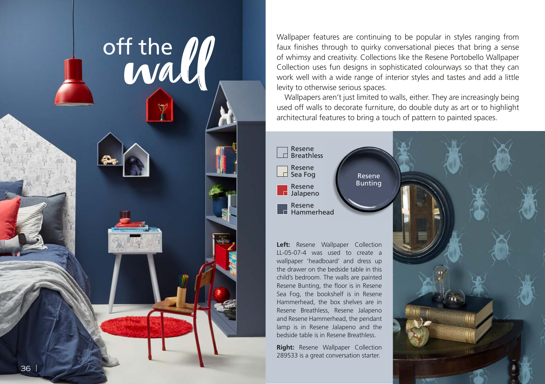

Wallpaper features are continuing to be popular in styles ranging from faux finishes through to quirky conversational pieces that bring a sense of whimsy and creativity. Collections like the Resene Portobello Wallpaper Collection uses fun designs in sophisticated colourways so that they can work well with a wide range of interior styles and tastes and add a little levity to otherwise serious spaces.

Wallpapers aren't just limited to walls, either. They are increasingly being used off walls to decorate furniture, do double duty as art or to highlight architectural features to bring a touch of pattern to painted spaces.

> Resene Bunting



Left: Resene Wallpaper Collection LL-05-07-4 was used to create a wallpaper 'headboard' and dress up the drawer on the bedside table in this child's bedroom. The walls are painted Resene Bunting, the floor is in Resene Sea Fog, the bookshelf is in Resene Hammerhead, the box shelves are in Resene Breathless, Resene Jalapeno and Resene Hammerhead, the pendant lamp is in Resene Jalapeno and the bedside table is in Resene Breathless.

**Right:** Resene Wallpaper Collection 289533 is a great conversation starter.